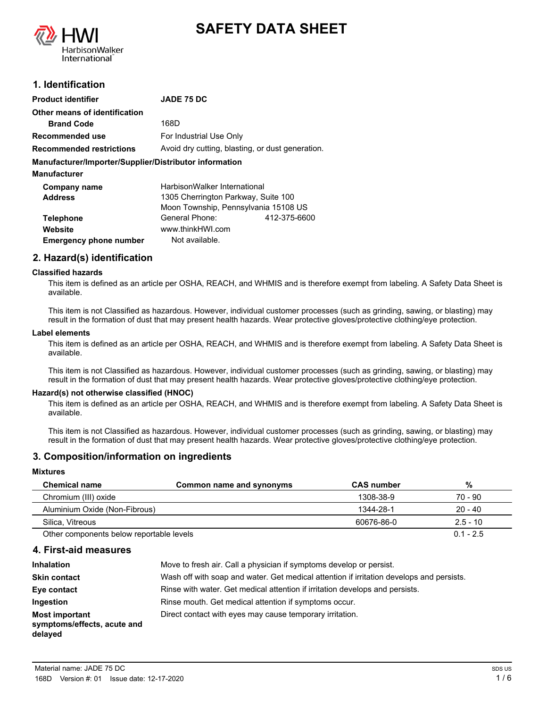



# **1. Identification**

| <b>Product identifier</b>                              | <b>JADE 75 DC</b>                                |              |
|--------------------------------------------------------|--------------------------------------------------|--------------|
| Other means of identification                          |                                                  |              |
| <b>Brand Code</b>                                      | 168D                                             |              |
| Recommended use                                        | For Industrial Use Only                          |              |
| <b>Recommended restrictions</b>                        | Avoid dry cutting, blasting, or dust generation. |              |
| Manufacturer/Importer/Supplier/Distributor information |                                                  |              |
| <b>Manufacturer</b>                                    |                                                  |              |
| Company name                                           | HarbisonWalker International                     |              |
| <b>Address</b>                                         | 1305 Cherrington Parkway, Suite 100              |              |
|                                                        | Moon Township, Pennsylvania 15108 US             |              |
| <b>Telephone</b>                                       | General Phone:                                   | 412-375-6600 |
| Website                                                | www.thinkHWI.com                                 |              |
| <b>Emergency phone number</b>                          | Not available.                                   |              |

# **2. Hazard(s) identification**

### **Classified hazards**

This item is defined as an article per OSHA, REACH, and WHMIS and is therefore exempt from labeling. A Safety Data Sheet is available.

This item is not Classified as hazardous. However, individual customer processes (such as grinding, sawing, or blasting) may result in the formation of dust that may present health hazards. Wear protective gloves/protective clothing/eye protection.

#### **Label elements**

This item is defined as an article per OSHA, REACH, and WHMIS and is therefore exempt from labeling. A Safety Data Sheet is available.

This item is not Classified as hazardous. However, individual customer processes (such as grinding, sawing, or blasting) may result in the formation of dust that may present health hazards. Wear protective gloves/protective clothing/eye protection.

### **Hazard(s) not otherwise classified (HNOC)**

This item is defined as an article per OSHA, REACH, and WHMIS and is therefore exempt from labeling. A Safety Data Sheet is available.

This item is not Classified as hazardous. However, individual customer processes (such as grinding, sawing, or blasting) may result in the formation of dust that may present health hazards. Wear protective gloves/protective clothing/eye protection.

# **3. Composition/information on ingredients**

#### **Mixtures**

| <b>Chemical name</b>                     | Common name and synonyms | <b>CAS</b> number | %           |
|------------------------------------------|--------------------------|-------------------|-------------|
| Chromium (III) oxide                     |                          | 1308-38-9         | 70 - 90     |
| Aluminium Oxide (Non-Fibrous)            |                          | 1344-28-1         | $20 - 40$   |
| Silica. Vitreous                         |                          | 60676-86-0        | $2.5 - 10$  |
| Other components below reportable levels |                          |                   | $0.1 - 2.5$ |

### **4. First-aid measures**

| <b>Inhalation</b>                                               | Move to fresh air. Call a physician if symptoms develop or persist.                      |
|-----------------------------------------------------------------|------------------------------------------------------------------------------------------|
| <b>Skin contact</b>                                             | Wash off with soap and water. Get medical attention if irritation develops and persists. |
| Eye contact                                                     | Rinse with water. Get medical attention if irritation develops and persists.             |
| Ingestion                                                       | Rinse mouth. Get medical attention if symptoms occur.                                    |
| <b>Most important</b><br>symptoms/effects, acute and<br>delayed | Direct contact with eyes may cause temporary irritation.                                 |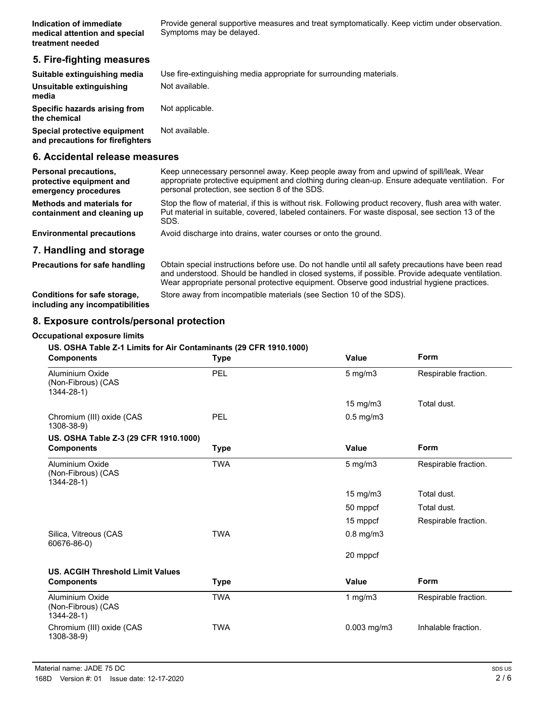Provide general supportive measures and treat symptomatically. Keep victim under observation. Symptoms may be delayed.

# **5. Fire-fighting measures**

| Suitable extinguishing media                                     | Use fire-extinguishing media appropriate for surrounding materials. |
|------------------------------------------------------------------|---------------------------------------------------------------------|
| Unsuitable extinguishing<br>media                                | Not available.                                                      |
| Specific hazards arising from<br>the chemical                    | Not applicable.                                                     |
| Special protective equipment<br>and precautions for firefighters | Not available.                                                      |

### **6. Accidental release measures**

| <b>Personal precautions,</b><br>protective equipment and<br>emergency procedures | Keep unnecessary personnel away. Keep people away from and upwind of spill/leak. Wear<br>appropriate protective equipment and clothing during clean-up. Ensure adequate ventilation. For<br>personal protection, see section 8 of the SDS. |
|----------------------------------------------------------------------------------|--------------------------------------------------------------------------------------------------------------------------------------------------------------------------------------------------------------------------------------------|
| <b>Methods and materials for</b><br>containment and cleaning up                  | Stop the flow of material, if this is without risk. Following product recovery, flush area with water.<br>Put material in suitable, covered, labeled containers. For waste disposal, see section 13 of the<br>SDS.                         |
| <b>Environmental precautions</b>                                                 | Avoid discharge into drains, water courses or onto the ground.                                                                                                                                                                             |
| 7. Handling and storage                                                          |                                                                                                                                                                                                                                            |
| <b>Precautions for safe handling</b>                                             | Obtain special instructions before use. Do not handle until all safety precautions have been read<br>and understood. Should be handled in closed systems, if possible. Provide adequate ventilation.                                       |

Wear appropriate personal protective equipment. Observe good industrial hygiene practices. **Conditions for safe storage,** Store away from incompatible materials (see Section 10 of the SDS).

**including any incompatibilities**

# **8. Exposure controls/personal protection**

### **Occupational exposure limits**

### **US. OSHA Table Z-1 Limits for Air Contaminants (29 CFR 1910.1000)**

| <b>Components</b>                                        | <b>Type</b> | Value             | Form                 |
|----------------------------------------------------------|-------------|-------------------|----------------------|
| Aluminium Oxide<br>(Non-Fibrous) (CAS<br>$1344 - 28 - 1$ | PEL         | $5$ mg/m $3$      | Respirable fraction. |
|                                                          |             | $15 \text{ mg/m}$ | Total dust.          |
| Chromium (III) oxide (CAS<br>1308-38-9)                  | PEL         | $0.5$ mg/m $3$    |                      |
| US. OSHA Table Z-3 (29 CFR 1910.1000)                    |             |                   |                      |
| <b>Components</b>                                        | <b>Type</b> | <b>Value</b>      | Form                 |
| Aluminium Oxide<br>(Non-Fibrous) (CAS<br>$1344 - 28 - 1$ | <b>TWA</b>  | $5$ mg/m $3$      | Respirable fraction. |
|                                                          |             | 15 mg/m3          | Total dust.          |
|                                                          |             | 50 mppcf          | Total dust.          |
|                                                          |             | 15 mppcf          | Respirable fraction. |
| Silica, Vitreous (CAS<br>60676-86-0)                     | <b>TWA</b>  | $0.8$ mg/m $3$    |                      |
|                                                          |             | 20 mppcf          |                      |
| <b>US. ACGIH Threshold Limit Values</b>                  |             |                   |                      |
| <b>Components</b>                                        | <b>Type</b> | <b>Value</b>      | <b>Form</b>          |
| Aluminium Oxide<br>(Non-Fibrous) (CAS<br>$1344 - 28 - 1$ | <b>TWA</b>  | 1 $mg/m3$         | Respirable fraction. |
| Chromium (III) oxide (CAS<br>1308-38-9)                  | <b>TWA</b>  | $0.003$ mg/m $3$  | Inhalable fraction.  |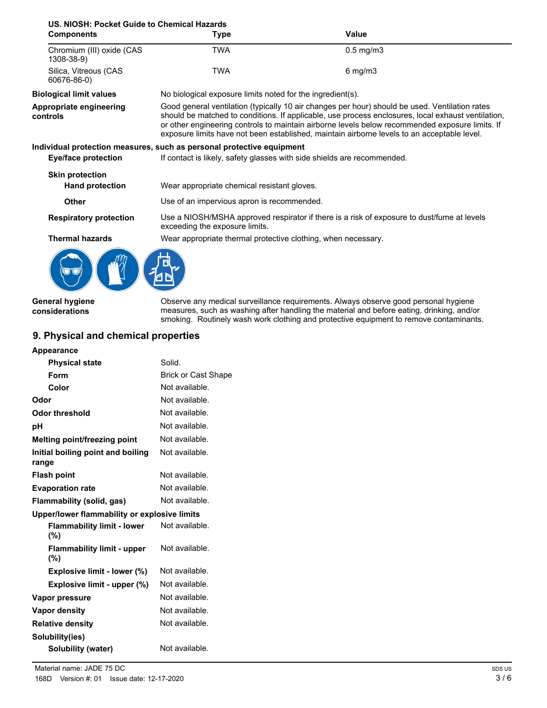| US. NIOSH: Pocket Guide to Chemical Hazards |                                                                                                                                                                                                                                                                                                                                                                                                        |                                                                                            |
|---------------------------------------------|--------------------------------------------------------------------------------------------------------------------------------------------------------------------------------------------------------------------------------------------------------------------------------------------------------------------------------------------------------------------------------------------------------|--------------------------------------------------------------------------------------------|
| <b>Components</b>                           | <b>Type</b>                                                                                                                                                                                                                                                                                                                                                                                            | Value                                                                                      |
| Chromium (III) oxide (CAS<br>1308-38-9)     | <b>TWA</b>                                                                                                                                                                                                                                                                                                                                                                                             | $0.5$ mg/m $3$                                                                             |
| Silica, Vitreous (CAS<br>60676-86-0)        | TWA                                                                                                                                                                                                                                                                                                                                                                                                    | $6$ mg/m $3$                                                                               |
| <b>Biological limit values</b>              | No biological exposure limits noted for the ingredient(s).                                                                                                                                                                                                                                                                                                                                             |                                                                                            |
| Appropriate engineering<br>controls         | Good general ventilation (typically 10 air changes per hour) should be used. Ventilation rates<br>should be matched to conditions. If applicable, use process enclosures, local exhaust ventilation,<br>or other engineering controls to maintain airborne levels below recommended exposure limits. If<br>exposure limits have not been established, maintain airborne levels to an acceptable level. |                                                                                            |
|                                             | Individual protection measures, such as personal protective equipment                                                                                                                                                                                                                                                                                                                                  |                                                                                            |
| <b>Eye/face protection</b>                  | If contact is likely, safety glasses with side shields are recommended.                                                                                                                                                                                                                                                                                                                                |                                                                                            |
| <b>Skin protection</b>                      |                                                                                                                                                                                                                                                                                                                                                                                                        |                                                                                            |
| <b>Hand protection</b>                      | Wear appropriate chemical resistant gloves.                                                                                                                                                                                                                                                                                                                                                            |                                                                                            |
| Other                                       | Use of an impervious apron is recommended.                                                                                                                                                                                                                                                                                                                                                             |                                                                                            |
| <b>Respiratory protection</b>               | exceeding the exposure limits.                                                                                                                                                                                                                                                                                                                                                                         | Use a NIOSH/MSHA approved respirator if there is a risk of exposure to dust/fume at levels |
| <b>Thermal hazards</b>                      | Wear appropriate thermal protective clothing, when necessary.                                                                                                                                                                                                                                                                                                                                          |                                                                                            |
|                                             |                                                                                                                                                                                                                                                                                                                                                                                                        |                                                                                            |
| General hygiene                             |                                                                                                                                                                                                                                                                                                                                                                                                        | Observe any medical surveillance requirements. Always observe good personal hygiene        |

**considerations**

measures, such as washing after handling the material and before eating, drinking, and/or smoking. Routinely wash work clothing and protective equipment to remove contaminants.

# **9. Physical and chemical properties**

| <b>Appearance</b>                            |                            |
|----------------------------------------------|----------------------------|
| <b>Physical state</b>                        | Solid.                     |
| Form                                         | <b>Brick or Cast Shape</b> |
| Color                                        | Not available.             |
| Odor                                         | Not available.             |
| Odor threshold                               | Not available.             |
| рH                                           | Not available.             |
| Melting point/freezing point                 | Not available.             |
| Initial boiling point and boiling<br>range   | Not available.             |
| <b>Flash point</b>                           | Not available.             |
| <b>Evaporation rate</b>                      | Not available.             |
| Flammability (solid, gas)                    | Not available.             |
| Upper/lower flammability or explosive limits |                            |
| <b>Flammability limit - lower</b><br>(%)     | Not available.             |
| <b>Flammability limit - upper</b><br>$(\%)$  | Not available.             |
| Explosive limit - lower (%)                  | Not available.             |
| Explosive limit - upper (%)                  | Not available.             |
| Vapor pressure                               | Not available.             |
| Vapor density                                | Not available.             |
| <b>Relative density</b>                      | Not available.             |
| Solubility(ies)                              |                            |
| <b>Solubility (water)</b>                    | Not available.             |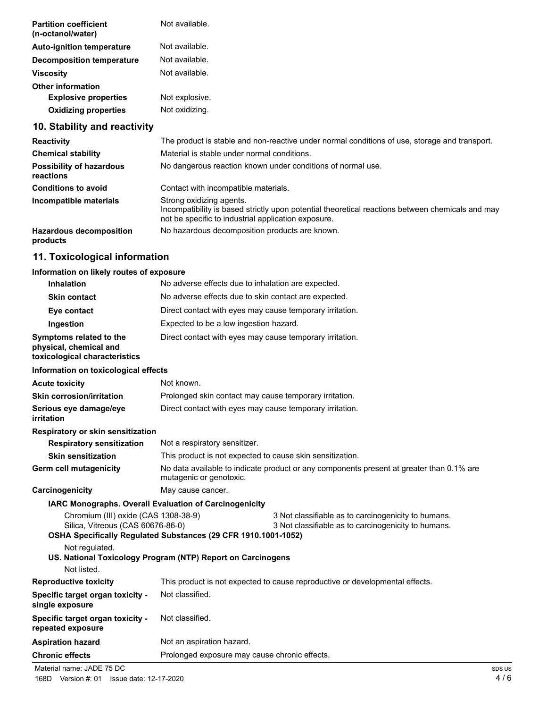| <b>Partition coefficient</b><br>(n-octanol/water) | Not available.                                                                       |
|---------------------------------------------------|--------------------------------------------------------------------------------------|
| <b>Auto-ignition temperature</b>                  | Not available.                                                                       |
| <b>Decomposition temperature</b>                  | Not available.                                                                       |
| <b>Viscosity</b>                                  | Not available.                                                                       |
| <b>Other information</b>                          |                                                                                      |
| <b>Explosive properties</b>                       | Not explosive.                                                                       |
| <b>Oxidizing properties</b>                       | Not oxidizing.                                                                       |
| 10. Stability and reactivity                      |                                                                                      |
|                                                   | ▼1. こうこう オールトリント おおおお こうしょう こうこうしゅう こうしょう こうこうしょう おおとこ こうじょう こうしょうこう こうしょうこうこう こうしょう |

| <b>Reactivity</b>                            | The product is stable and non-reactive under normal conditions of use, storage and transport.                                                                                       |
|----------------------------------------------|-------------------------------------------------------------------------------------------------------------------------------------------------------------------------------------|
| <b>Chemical stability</b>                    | Material is stable under normal conditions.                                                                                                                                         |
| <b>Possibility of hazardous</b><br>reactions | No dangerous reaction known under conditions of normal use.                                                                                                                         |
| <b>Conditions to avoid</b>                   | Contact with incompatible materials.                                                                                                                                                |
| Incompatible materials                       | Strong oxidizing agents.<br>Incompatibility is based strictly upon potential theoretical reactions between chemicals and may<br>not be specific to industrial application exposure. |
| <b>Hazardous decomposition</b><br>products   | No hazardous decomposition products are known.                                                                                                                                      |

# **11. Toxicological information**

# Information on likely routes of

| Information on likely routes of exposure                                           |                                                                                                                     |                                                                                                            |  |
|------------------------------------------------------------------------------------|---------------------------------------------------------------------------------------------------------------------|------------------------------------------------------------------------------------------------------------|--|
| Inhalation                                                                         | No adverse effects due to inhalation are expected.                                                                  |                                                                                                            |  |
| <b>Skin contact</b>                                                                | No adverse effects due to skin contact are expected.                                                                |                                                                                                            |  |
| Eye contact                                                                        | Direct contact with eyes may cause temporary irritation.                                                            |                                                                                                            |  |
| Ingestion                                                                          | Expected to be a low ingestion hazard.                                                                              |                                                                                                            |  |
| Symptoms related to the<br>physical, chemical and<br>toxicological characteristics | Direct contact with eyes may cause temporary irritation.                                                            |                                                                                                            |  |
| Information on toxicological effects                                               |                                                                                                                     |                                                                                                            |  |
| <b>Acute toxicity</b>                                                              | Not known.                                                                                                          |                                                                                                            |  |
| <b>Skin corrosion/irritation</b>                                                   | Prolonged skin contact may cause temporary irritation.                                                              |                                                                                                            |  |
| Serious eye damage/eye<br>irritation                                               | Direct contact with eyes may cause temporary irritation.                                                            |                                                                                                            |  |
| Respiratory or skin sensitization                                                  |                                                                                                                     |                                                                                                            |  |
| <b>Respiratory sensitization</b>                                                   | Not a respiratory sensitizer.                                                                                       |                                                                                                            |  |
| <b>Skin sensitization</b>                                                          | This product is not expected to cause skin sensitization.                                                           |                                                                                                            |  |
| Germ cell mutagenicity                                                             | No data available to indicate product or any components present at greater than 0.1% are<br>mutagenic or genotoxic. |                                                                                                            |  |
| Carcinogenicity                                                                    | May cause cancer.                                                                                                   |                                                                                                            |  |
| <b>IARC Monographs. Overall Evaluation of Carcinogenicity</b>                      |                                                                                                                     |                                                                                                            |  |
| Chromium (III) oxide (CAS 1308-38-9)<br>Silica, Vitreous (CAS 60676-86-0)          | OSHA Specifically Regulated Substances (29 CFR 1910.1001-1052)                                                      | 3 Not classifiable as to carcinogenicity to humans.<br>3 Not classifiable as to carcinogenicity to humans. |  |
| Not regulated.<br>Not listed.                                                      | US. National Toxicology Program (NTP) Report on Carcinogens                                                         |                                                                                                            |  |
| <b>Reproductive toxicity</b>                                                       |                                                                                                                     | This product is not expected to cause reproductive or developmental effects.                               |  |
| Specific target organ toxicity -<br>single exposure                                | Not classified.                                                                                                     |                                                                                                            |  |
| Specific target organ toxicity -<br>repeated exposure                              | Not classified.                                                                                                     |                                                                                                            |  |
| <b>Aspiration hazard</b>                                                           | Not an aspiration hazard.                                                                                           |                                                                                                            |  |

Material name: JADE 75 DC

**Chronic effects** Prolonged exposure may cause chronic effects.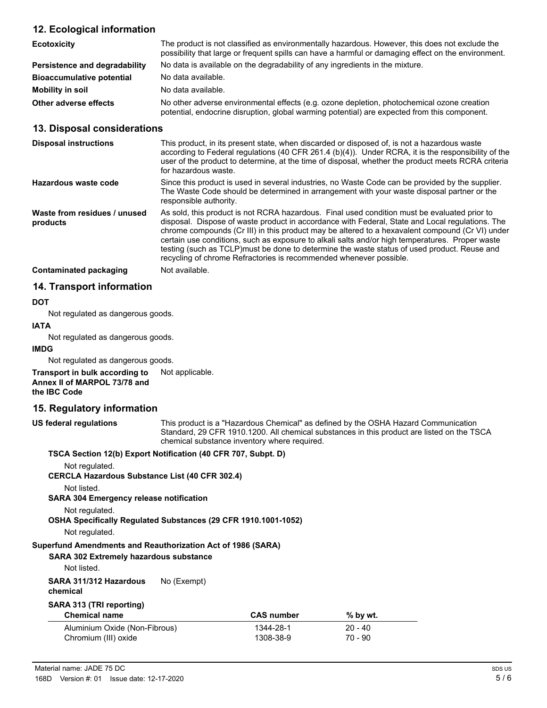# **12. Ecological information**

| <b>Ecotoxicity</b>               | The product is not classified as environmentally hazardous. However, this does not exclude the<br>possibility that large or frequent spills can have a harmful or damaging effect on the environment. |
|----------------------------------|-------------------------------------------------------------------------------------------------------------------------------------------------------------------------------------------------------|
| Persistence and degradability    | No data is available on the degradability of any ingredients in the mixture.                                                                                                                          |
| <b>Bioaccumulative potential</b> | No data available.                                                                                                                                                                                    |
| Mobility in soil                 | No data available.                                                                                                                                                                                    |
| Other adverse effects            | No other adverse environmental effects (e.g. ozone depletion, photochemical ozone creation<br>potential, endocrine disruption, global warming potential) are expected from this component.            |

### **13. Disposal considerations**

| <b>Disposal instructions</b>             | This product, in its present state, when discarded or disposed of, is not a hazardous waste<br>according to Federal regulations (40 CFR 261.4 (b)(4)). Under RCRA, it is the responsibility of the<br>user of the product to determine, at the time of disposal, whether the product meets RCRA criteria<br>for hazardous waste.                                                                                                                                                                                                                                            |
|------------------------------------------|-----------------------------------------------------------------------------------------------------------------------------------------------------------------------------------------------------------------------------------------------------------------------------------------------------------------------------------------------------------------------------------------------------------------------------------------------------------------------------------------------------------------------------------------------------------------------------|
| Hazardous waste code                     | Since this product is used in several industries, no Waste Code can be provided by the supplier.<br>The Waste Code should be determined in arrangement with your waste disposal partner or the<br>responsible authority.                                                                                                                                                                                                                                                                                                                                                    |
| Waste from residues / unused<br>products | As sold, this product is not RCRA hazardous. Final used condition must be evaluated prior to<br>disposal. Dispose of waste product in accordance with Federal, State and Local regulations. The<br>chrome compounds (Cr III) in this product may be altered to a hexavalent compound (Cr VI) under<br>certain use conditions, such as exposure to alkali salts and/or high temperatures. Proper waste<br>testing (such as TCLP) must be done to determine the waste status of used product. Reuse and<br>recycling of chrome Refractories is recommended whenever possible. |
| <b>Contaminated packaging</b>            | Not available.                                                                                                                                                                                                                                                                                                                                                                                                                                                                                                                                                              |

# **14. Transport information**

### **DOT**

Not regulated as dangerous goods.

### **IATA**

Not regulated as dangerous goods.

### **IMDG**

Not regulated as dangerous goods.

#### **Transport in bulk according to** Not applicable. **Annex II of MARPOL 73/78 and the IBC Code**

# **15. Regulatory information**

This product is a "Hazardous Chemical" as defined by the OSHA Hazard Communication Standard, 29 CFR 1910.1200. All chemical substances in this product are listed on the TSCA chemical substance inventory where required. **US federal regulations**

# **TSCA Section 12(b) Export Notification (40 CFR 707, Subpt. D)** Not regulated. **CERCLA Hazardous Substance List (40 CFR 302.4)** Not listed. **SARA 304 Emergency release notification** Not regulated. **OSHA Specifically Regulated Substances (29 CFR 1910.1001-1052)** Not regulated. **SARA 302 Extremely hazardous substance Superfund Amendments and Reauthorization Act of 1986 (SARA)** Not listed. **SARA 311/312 Hazardous** No (Exempt) **chemical SARA 313 (TRI reporting) Chemical name CAS number % by wt.** Aluminium Oxide (Non-Fibrous) 1344-28-1 20 - 40 Chromium (III) oxide 1308-38-9 70 - 90